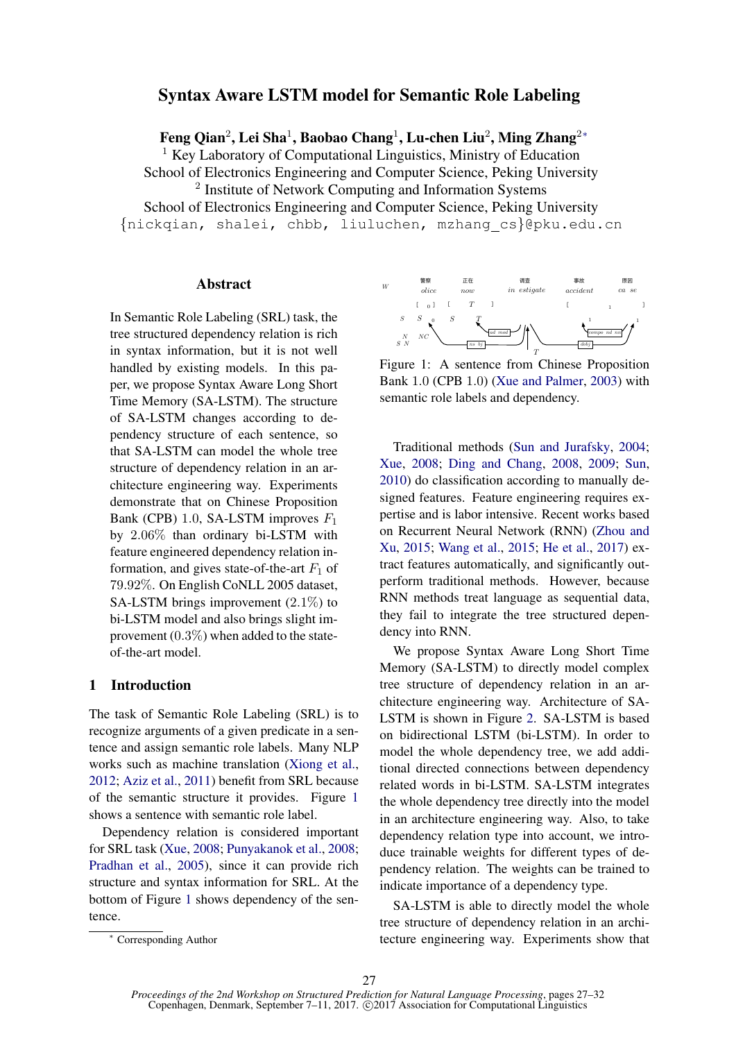# Syntax Aware LSTM model for Semantic Role Labeling

Feng Qian $^2$ , Lei Sha $^1$ , Baobao Chang $^1$ , Lu-chen Liu $^2$ , Ming Zhang $^{2\ast}$ 

<sup>1</sup> Key Laboratory of Computational Linguistics, Ministry of Education

School of Electronics Engineering and Computer Science, Peking University <sup>2</sup> Institute of Network Computing and Information Systems School of Electronics Engineering and Computer Science, Peking University {nickqian, shalei, chbb, liuluchen, mzhang cs}@pku.edu.cn

### Abstract

In Semantic Role Labeling (SRL) task, the tree structured dependency relation is rich in syntax information, but it is not well handled by existing models. In this paper, we propose Syntax Aware Long Short Time Memory (SA-LSTM). The structure of SA-LSTM changes according to dependency structure of each sentence, so that SA-LSTM can model the whole tree structure of dependency relation in an architecture engineering way. Experiments demonstrate that on Chinese Proposition Bank (CPB) 1.0, SA-LSTM improves  $F_1$ by 2.06% than ordinary bi-LSTM with feature engineered dependency relation information, and gives state-of-the-art  $F_1$  of 79.92%. On English CoNLL 2005 dataset, SA-LSTM brings improvement  $(2.1\%)$  to bi-LSTM model and also brings slight improvement  $(0.3\%)$  when added to the stateof-the-art model.

# 1 Introduction

The task of Semantic Role Labeling (SRL) is to recognize arguments of a given predicate in a sentence and assign semantic role labels. Many NLP works such as machine translation (Xiong et al., 2012; Aziz et al., 2011) benefit from SRL because of the semantic structure it provides. Figure 1 shows a sentence with semantic role label.

Dependency relation is considered important for SRL task (Xue, 2008; Punyakanok et al., 2008; Pradhan et al., 2005), since it can provide rich structure and syntax information for SRL. At the bottom of Figure 1 shows dependency of the sentence.



Figure 1: A sentence from Chinese Proposition Bank 1.0 (CPB 1.0) (Xue and Palmer, 2003) with semantic role labels and dependency.

Traditional methods (Sun and Jurafsky, 2004; Xue, 2008; Ding and Chang, 2008, 2009; Sun, 2010) do classification according to manually designed features. Feature engineering requires expertise and is labor intensive. Recent works based on Recurrent Neural Network (RNN) (Zhou and Xu, 2015; Wang et al., 2015; He et al., 2017) extract features automatically, and significantly outperform traditional methods. However, because RNN methods treat language as sequential data, they fail to integrate the tree structured dependency into RNN.

We propose Syntax Aware Long Short Time Memory (SA-LSTM) to directly model complex tree structure of dependency relation in an architecture engineering way. Architecture of SA-LSTM is shown in Figure 2. SA-LSTM is based on bidirectional LSTM (bi-LSTM). In order to model the whole dependency tree, we add additional directed connections between dependency related words in bi-LSTM. SA-LSTM integrates the whole dependency tree directly into the model in an architecture engineering way. Also, to take dependency relation type into account, we introduce trainable weights for different types of dependency relation. The weights can be trained to indicate importance of a dependency type.

SA-LSTM is able to directly model the whole tree structure of dependency relation in an architecture engineering way. Experiments show that

<sup>∗</sup> Corresponding Author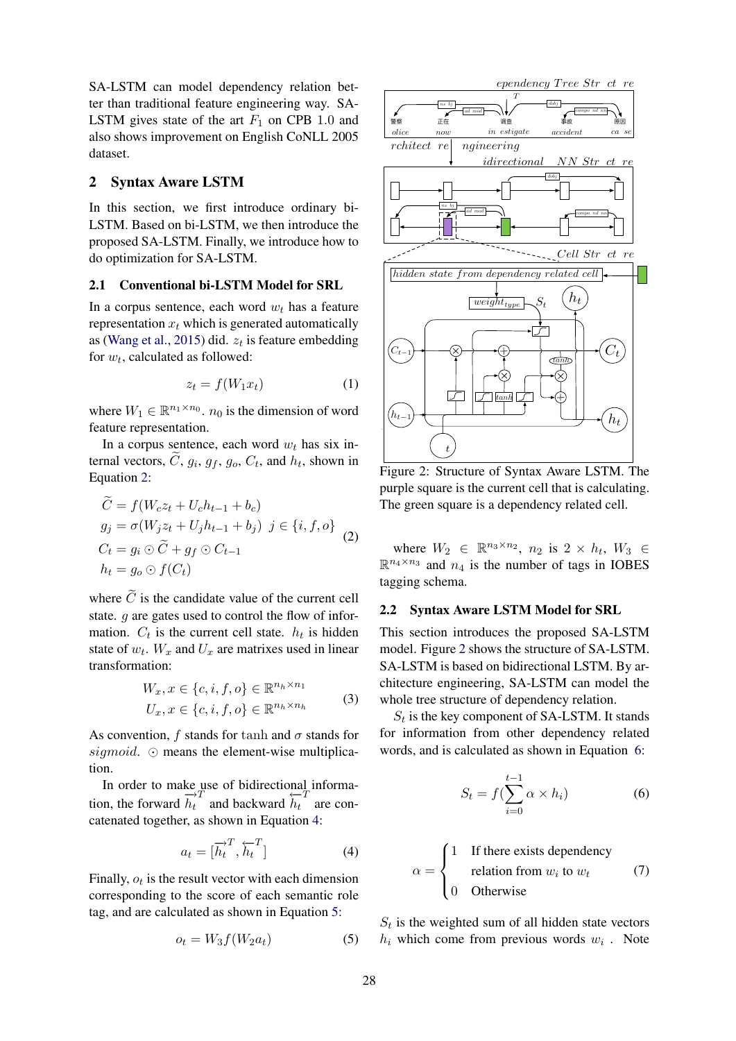SA-LSTM can model dependency relation better than traditional feature engineering way. SA-LSTM gives state of the art  $F_1$  on CPB 1.0 and also shows improvement on English CoNLL 2005 dataset.

### 2 Syntax Aware LSTM

In this section, we first introduce ordinary bi-LSTM. Based on bi-LSTM, we then introduce the proposed SA-LSTM. Finally, we introduce how to do optimization for SA-LSTM.

### 2.1 Conventional bi-LSTM Model for SRL

In a corpus sentence, each word  $w_t$  has a feature representation  $x_t$  which is generated automatically as (Wang et al., 2015) did.  $z_t$  is feature embedding for  $w_t$ , calculated as followed:

$$
z_t = f(W_1 x_t) \tag{1}
$$

where  $W_1 \in \mathbb{R}^{n_1 \times n_0}$ .  $n_0$  is the dimension of word feature representation.

In a corpus sentence, each word  $w_t$  has six internal vectors, C,  $g_i$ ,  $g_f$ ,  $g_o$ ,  $C_t$ , and  $h_t$ , shown in Equation 2:

$$
C = f(W_c z_t + U_c h_{t-1} + b_c)
$$
  
\n
$$
g_j = \sigma(W_j z_t + U_j h_{t-1} + b_j) \quad j \in \{i, f, o\}
$$
  
\n
$$
C_t = g_i \odot \widetilde{C} + g_f \odot C_{t-1}
$$
  
\n
$$
h_t = g_o \odot f(C_t)
$$
 (2)

where  $\tilde{C}$  is the candidate value of the current cell state. g are gates used to control the flow of information.  $C_t$  is the current cell state.  $h_t$  is hidden state of  $w_t$ .  $W_x$  and  $U_x$  are matrixes used in linear transformation:

$$
W_x, x \in \{c, i, f, o\} \in \mathbb{R}^{n_h \times n_1}
$$
  

$$
U_x, x \in \{c, i, f, o\} \in \mathbb{R}^{n_h \times n_h}
$$
 (3)

As convention, f stands for tanh and  $\sigma$  stands for sigmoid.  $\odot$  means the element-wise multiplication.

In order to make use of bidirectional information, the forward  $\overrightarrow{h_t}$  and backward  $\overrightarrow{h_t}$  are concatenated together, as shown in Equation 4:

$$
a_t = [\overrightarrow{h}_t^T, \overleftarrow{h}_t^T] \tag{4}
$$

Finally,  $o_t$  is the result vector with each dimension corresponding to the score of each semantic role tag, and are calculated as shown in Equation 5:

$$
o_t = W_3 f(W_2 a_t) \tag{5}
$$



Figure 2: Structure of Syntax Aware LSTM. The purple square is the current cell that is calculating. The green square is a dependency related cell.

where  $W_2 \in \mathbb{R}^{n_3 \times n_2}$ ,  $n_2$  is  $2 \times h_t$ ,  $W_3 \in$  $\mathbb{R}^{n_4 \times n_3}$  and  $n_4$  is the number of tags in IOBES tagging schema.

### 2.2 Syntax Aware LSTM Model for SRL

This section introduces the proposed SA-LSTM model. Figure 2 shows the structure of SA-LSTM. SA-LSTM is based on bidirectional LSTM. By architecture engineering, SA-LSTM can model the whole tree structure of dependency relation.

 $S_t$  is the key component of SA-LSTM. It stands for information from other dependency related words, and is calculated as shown in Equation 6:

$$
S_t = f(\sum_{i=0}^{t-1} \alpha \times h_i)
$$
 (6)

$$
\alpha = \begin{cases}\n1 & \text{If there exists dependency} \\
 & \text{relation from } w_i \text{ to } w_t \\
0 & \text{Otherwise}\n\end{cases}
$$
\n(7)

 $S_t$  is the weighted sum of all hidden state vectors  $h_i$  which come from previous words  $w_i$ . Note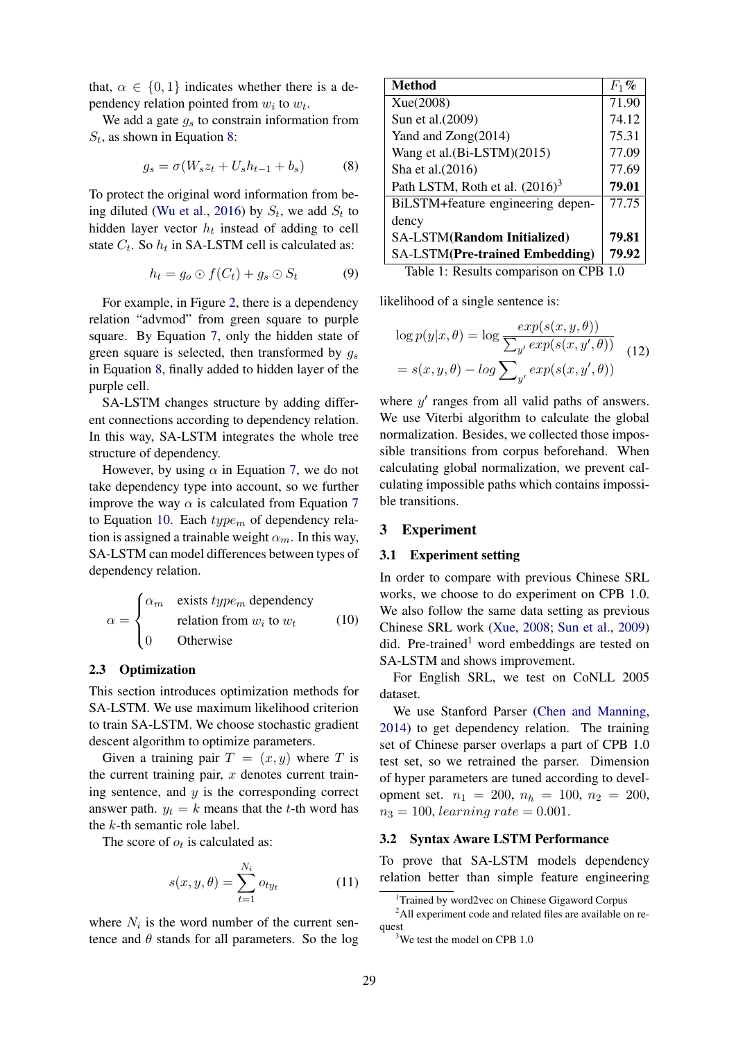that,  $\alpha \in \{0, 1\}$  indicates whether there is a dependency relation pointed from  $w_i$  to  $w_t$ .

We add a gate  $g_s$  to constrain information from  $S_t$ , as shown in Equation 8:

$$
g_s = \sigma(W_s z_t + U_s h_{t-1} + b_s)
$$
 (8)

To protect the original word information from being diluted (Wu et al., 2016) by  $S_t$ , we add  $S_t$  to hidden layer vector  $h_t$  instead of adding to cell state  $C_t$ . So  $h_t$  in SA-LSTM cell is calculated as:

$$
h_t = g_o \odot f(C_t) + g_s \odot S_t \tag{9}
$$

For example, in Figure 2, there is a dependency relation "advmod" from green square to purple square. By Equation 7, only the hidden state of green square is selected, then transformed by  $q_s$ in Equation 8, finally added to hidden layer of the purple cell.

SA-LSTM changes structure by adding different connections according to dependency relation. In this way, SA-LSTM integrates the whole tree structure of dependency.

However, by using  $\alpha$  in Equation 7, we do not take dependency type into account, so we further improve the way  $\alpha$  is calculated from Equation 7 to Equation 10. Each  $type_m$  of dependency relation is assigned a trainable weight  $\alpha_m$ . In this way, SA-LSTM can model differences between types of dependency relation.

$$
\alpha = \begin{cases} \alpha_m & \text{exists type}_m \text{ dependency} \\ & \text{relation from } w_i \text{ to } w_t \\ 0 & \text{Otherwise} \end{cases}
$$
 (10)

### 2.3 Optimization

This section introduces optimization methods for SA-LSTM. We use maximum likelihood criterion to train SA-LSTM. We choose stochastic gradient descent algorithm to optimize parameters.

Given a training pair  $T = (x, y)$  where T is the current training pair,  $x$  denotes current training sentence, and  $y$  is the corresponding correct answer path.  $y_t = k$  means that the t-th word has the k-th semantic role label.

The score of  $o_t$  is calculated as:

$$
s(x, y, \theta) = \sum_{t=1}^{N_i} o_{ty_t} \tag{11}
$$

where  $N_i$  is the word number of the current sentence and  $\theta$  stands for all parameters. So the log

| <b>Method</b>                         | $F_1$ % |
|---------------------------------------|---------|
| Xue(2008)                             | 71.90   |
| Sun et al.(2009)                      | 74.12   |
| Yand and Zong(2014)                   | 75.31   |
| Wang et al.(Bi-LSTM)(2015)            | 77.09   |
| Sha et al. (2016)                     | 77.69   |
| Path LSTM, Roth et al. $(2016)^3$     | 79.01   |
| BiLSTM+feature engineering depen-     | 77.75   |
| dency                                 |         |
| <b>SA-LSTM(Random Initialized)</b>    | 79.81   |
| <b>SA-LSTM(Pre-trained Embedding)</b> | 79.92   |

Table 1: Results comparison on CPB 1.0

likelihood of a single sentence is:

$$
\log p(y|x,\theta) = \log \frac{exp(s(x,y,\theta))}{\sum_{y'} exp(s(x,y',\theta))}
$$
  
=  $s(x, y, \theta) - \log \sum_{y'} exp(s(x,y',\theta))$  (12)

where  $y'$  ranges from all valid paths of answers. We use Viterbi algorithm to calculate the global normalization. Besides, we collected those impossible transitions from corpus beforehand. When calculating global normalization, we prevent calculating impossible paths which contains impossible transitions.

### 3 Experiment

#### 3.1 Experiment setting

In order to compare with previous Chinese SRL works, we choose to do experiment on CPB 1.0. We also follow the same data setting as previous Chinese SRL work (Xue, 2008; Sun et al., 2009) did. Pre-trained<sup>1</sup> word embeddings are tested on SA-LSTM and shows improvement.

For English SRL, we test on CoNLL 2005 dataset.

We use Stanford Parser (Chen and Manning, 2014) to get dependency relation. The training set of Chinese parser overlaps a part of CPB 1.0 test set, so we retrained the parser. Dimension of hyper parameters are tuned according to development set.  $n_1 = 200$ ,  $n_h = 100$ ,  $n_2 = 200$ ,  $n_3 = 100$ , learning rate  $= 0.001$ .

#### 3.2 Syntax Aware LSTM Performance

To prove that SA-LSTM models dependency relation better than simple feature engineering

<sup>&</sup>lt;sup>1</sup>Trained by word2vec on Chinese Gigaword Corpus

<sup>&</sup>lt;sup>2</sup>All experiment code and related files are available on request

<sup>&</sup>lt;sup>3</sup>We test the model on CPB 1.0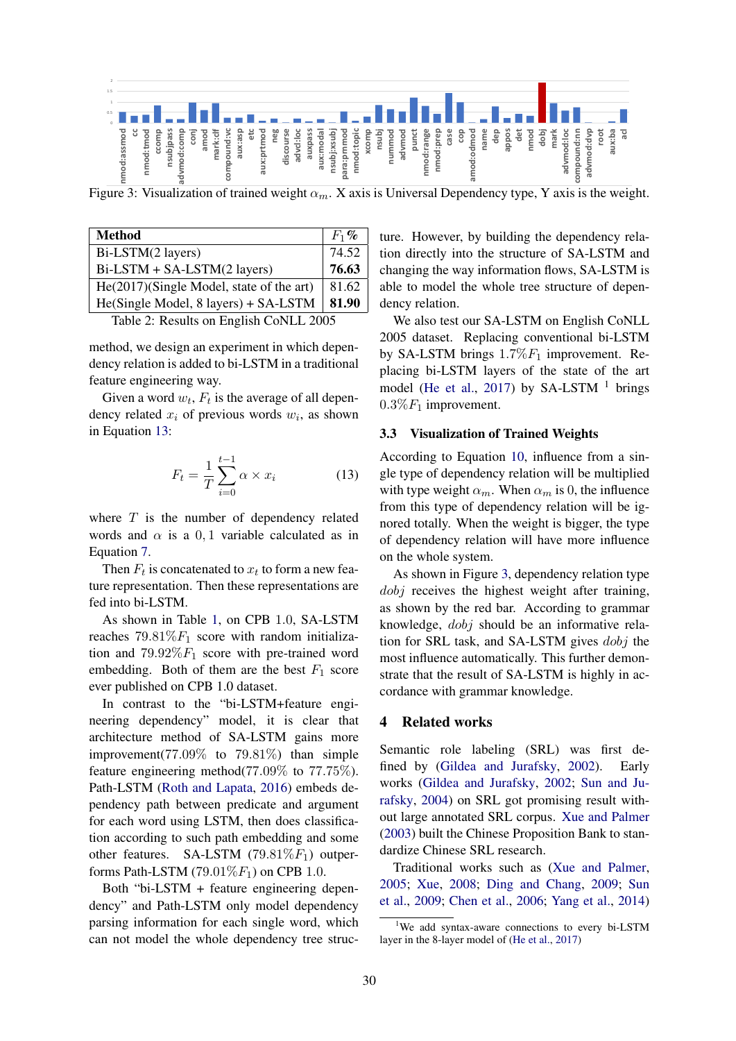

Figure 3: Visualization of trained weight  $\alpha_m$ . X axis is Universal Dependency type, Y axis is the weight.

| <b>Method</b>                            | $F_1$ % |
|------------------------------------------|---------|
| Bi-LSTM(2 layers)                        | 74.52   |
| Bi-LSTM + SA-LSTM(2 layers)              | 76.63   |
| He(2017)(Single Model, state of the art) | 81.62   |
| He(Single Model, 8 layers) + SA-LSTM     | 81.90   |

Table 2: Results on English CoNLL 2005

method, we design an experiment in which dependency relation is added to bi-LSTM in a traditional feature engineering way.

Given a word  $w_t$ ,  $F_t$  is the average of all dependency related  $x_i$  of previous words  $w_i$ , as shown in Equation 13:

$$
F_t = \frac{1}{T} \sum_{i=0}^{t-1} \alpha \times x_i \tag{13}
$$

where  $T$  is the number of dependency related words and  $\alpha$  is a 0, 1 variable calculated as in Equation 7.

Then  $F_t$  is concatenated to  $x_t$  to form a new feature representation. Then these representations are fed into bi-LSTM.

As shown in Table 1, on CPB 1.0, SA-LSTM reaches  $79.81\%F_1$  score with random initialization and  $79.92\%F_1$  score with pre-trained word embedding. Both of them are the best  $F_1$  score ever published on CPB 1.0 dataset.

In contrast to the "bi-LSTM+feature engineering dependency" model, it is clear that architecture method of SA-LSTM gains more improvement(77.09% to 79.81%) than simple feature engineering method(77.09% to 77.75%). Path-LSTM (Roth and Lapata, 2016) embeds dependency path between predicate and argument for each word using LSTM, then does classification according to such path embedding and some other features. SA-LSTM (79.81% $F_1$ ) outperforms Path-LSTM (79.01 $\%F_1$ ) on CPB 1.0.

Both "bi-LSTM + feature engineering dependency" and Path-LSTM only model dependency parsing information for each single word, which can not model the whole dependency tree struc-

ture. However, by building the dependency relation directly into the structure of SA-LSTM and changing the way information flows, SA-LSTM is able to model the whole tree structure of dependency relation.

We also test our SA-LSTM on English CoNLL 2005 dataset. Replacing conventional bi-LSTM by SA-LSTM brings  $1.7\%F_1$  improvement. Replacing bi-LSTM layers of the state of the art model (He et al., 2017) by SA-LSTM  $<sup>1</sup>$  brings</sup>  $0.3\%F_1$  improvement.

### 3.3 Visualization of Trained Weights

According to Equation 10, influence from a single type of dependency relation will be multiplied with type weight  $\alpha_m$ . When  $\alpha_m$  is 0, the influence from this type of dependency relation will be ignored totally. When the weight is bigger, the type of dependency relation will have more influence on the whole system.

As shown in Figure 3, dependency relation type dobj receives the highest weight after training, as shown by the red bar. According to grammar knowledge, dobj should be an informative relation for SRL task, and SA-LSTM gives dobj the most influence automatically. This further demonstrate that the result of SA-LSTM is highly in accordance with grammar knowledge.

# 4 Related works

Semantic role labeling (SRL) was first defined by (Gildea and Jurafsky, 2002). Early works (Gildea and Jurafsky, 2002; Sun and Jurafsky, 2004) on SRL got promising result without large annotated SRL corpus. Xue and Palmer (2003) built the Chinese Proposition Bank to standardize Chinese SRL research.

Traditional works such as (Xue and Palmer, 2005; Xue, 2008; Ding and Chang, 2009; Sun et al., 2009; Chen et al., 2006; Yang et al., 2014)

<sup>&</sup>lt;sup>1</sup>We add syntax-aware connections to every bi-LSTM layer in the 8-layer model of (He et al., 2017)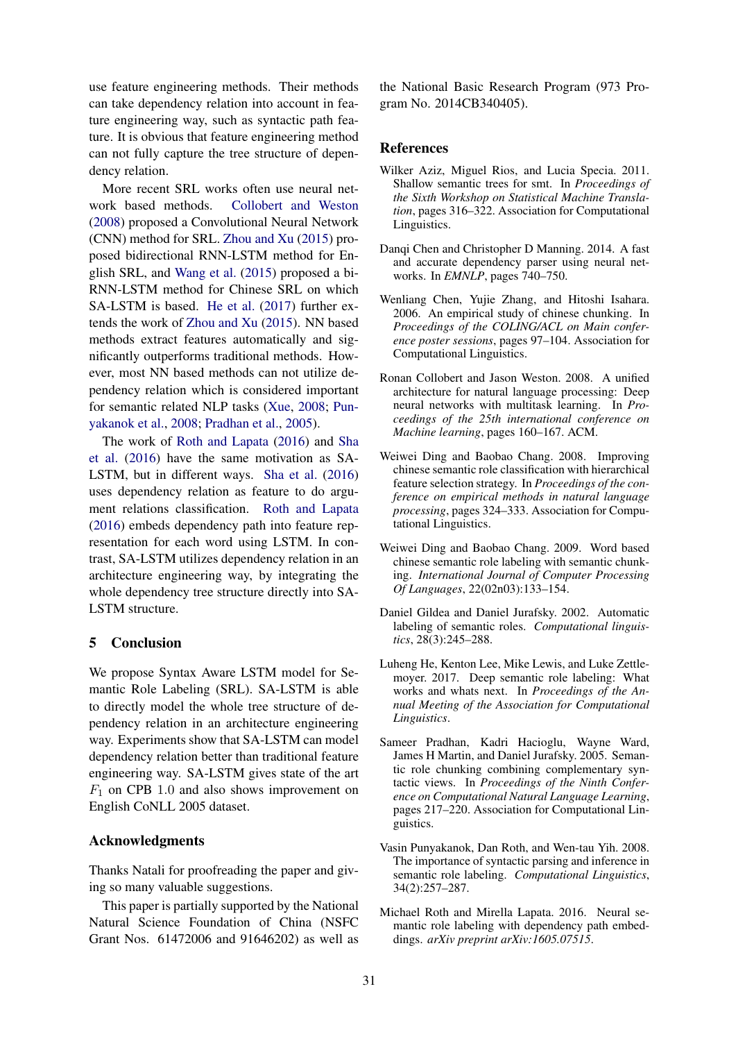use feature engineering methods. Their methods can take dependency relation into account in feature engineering way, such as syntactic path feature. It is obvious that feature engineering method can not fully capture the tree structure of dependency relation.

More recent SRL works often use neural network based methods. Collobert and Weston (2008) proposed a Convolutional Neural Network (CNN) method for SRL. Zhou and Xu (2015) proposed bidirectional RNN-LSTM method for English SRL, and Wang et al. (2015) proposed a bi-RNN-LSTM method for Chinese SRL on which SA-LSTM is based. He et al. (2017) further extends the work of Zhou and Xu (2015). NN based methods extract features automatically and significantly outperforms traditional methods. However, most NN based methods can not utilize dependency relation which is considered important for semantic related NLP tasks (Xue, 2008; Punyakanok et al., 2008; Pradhan et al., 2005).

The work of Roth and Lapata (2016) and Sha et al. (2016) have the same motivation as SA-LSTM, but in different ways. Sha et al. (2016) uses dependency relation as feature to do argument relations classification. Roth and Lapata (2016) embeds dependency path into feature representation for each word using LSTM. In contrast, SA-LSTM utilizes dependency relation in an architecture engineering way, by integrating the whole dependency tree structure directly into SA-LSTM structure.

# 5 Conclusion

We propose Syntax Aware LSTM model for Semantic Role Labeling (SRL). SA-LSTM is able to directly model the whole tree structure of dependency relation in an architecture engineering way. Experiments show that SA-LSTM can model dependency relation better than traditional feature engineering way. SA-LSTM gives state of the art  $F_1$  on CPB 1.0 and also shows improvement on English CoNLL 2005 dataset.

# Acknowledgments

Thanks Natali for proofreading the paper and giving so many valuable suggestions.

This paper is partially supported by the National Natural Science Foundation of China (NSFC Grant Nos. 61472006 and 91646202) as well as

the National Basic Research Program (973 Program No. 2014CB340405).

### **References**

- Wilker Aziz, Miguel Rios, and Lucia Specia. 2011. Shallow semantic trees for smt. In *Proceedings of the Sixth Workshop on Statistical Machine Translation*, pages 316–322. Association for Computational Linguistics.
- Danqi Chen and Christopher D Manning. 2014. A fast and accurate dependency parser using neural networks. In *EMNLP*, pages 740–750.
- Wenliang Chen, Yujie Zhang, and Hitoshi Isahara. 2006. An empirical study of chinese chunking. In *Proceedings of the COLING/ACL on Main conference poster sessions*, pages 97–104. Association for Computational Linguistics.
- Ronan Collobert and Jason Weston. 2008. A unified architecture for natural language processing: Deep neural networks with multitask learning. In *Proceedings of the 25th international conference on Machine learning*, pages 160–167. ACM.
- Weiwei Ding and Baobao Chang. 2008. Improving chinese semantic role classification with hierarchical feature selection strategy. In *Proceedings of the conference on empirical methods in natural language processing*, pages 324–333. Association for Computational Linguistics.
- Weiwei Ding and Baobao Chang. 2009. Word based chinese semantic role labeling with semantic chunking. *International Journal of Computer Processing Of Languages*, 22(02n03):133–154.
- Daniel Gildea and Daniel Jurafsky. 2002. Automatic labeling of semantic roles. *Computational linguistics*, 28(3):245–288.
- Luheng He, Kenton Lee, Mike Lewis, and Luke Zettlemoyer. 2017. Deep semantic role labeling: What works and whats next. In *Proceedings of the Annual Meeting of the Association for Computational Linguistics*.
- Sameer Pradhan, Kadri Hacioglu, Wayne Ward, James H Martin, and Daniel Jurafsky. 2005. Semantic role chunking combining complementary syntactic views. In *Proceedings of the Ninth Conference on Computational Natural Language Learning*, pages 217–220. Association for Computational Linguistics.
- Vasin Punyakanok, Dan Roth, and Wen-tau Yih. 2008. The importance of syntactic parsing and inference in semantic role labeling. *Computational Linguistics*, 34(2):257–287.
- Michael Roth and Mirella Lapata. 2016. Neural semantic role labeling with dependency path embeddings. *arXiv preprint arXiv:1605.07515*.